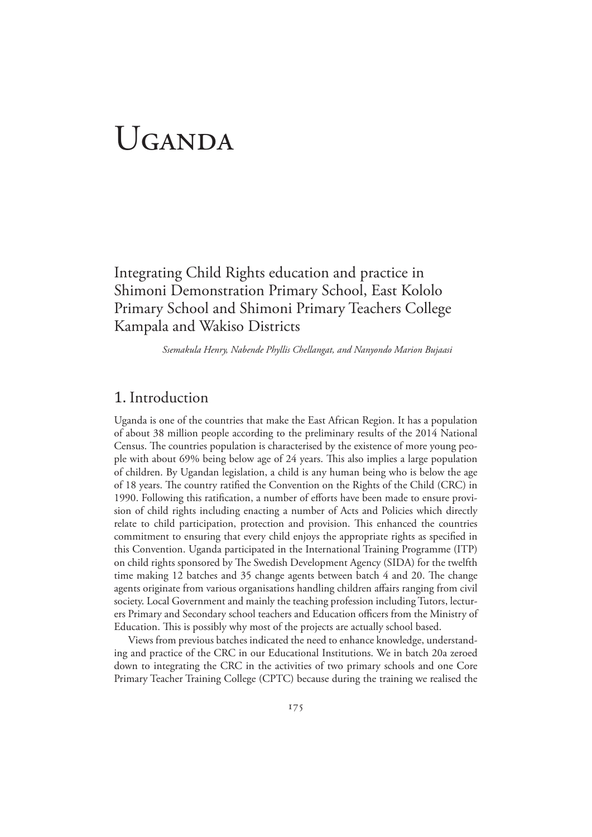# UGANDA

Integrating Child Rights education and practice in Shimoni Demonstration Primary School, East Kololo Primary School and Shimoni Primary Teachers College Kampala and Wakiso Districts

*Ssemakula Henry, Nabende Phyllis Chellangat, and Nanyondo Marion Bujaasi* 

## 1. Introduction

Uganda is one of the countries that make the East African Region. It has a population of about 38 million people according to the preliminary results of the 2014 National Census. The countries population is characterised by the existence of more young people with about 69% being below age of 24 years. This also implies a large population of children. By Ugandan legislation, a child is any human being who is below the age of 18 years. The country ratified the Convention on the Rights of the Child (CRC) in 1990. Following this ratification, a number of efforts have been made to ensure provision of child rights including enacting a number of Acts and Policies which directly relate to child participation, protection and provision. This enhanced the countries commitment to ensuring that every child enjoys the appropriate rights as specified in this Convention. Uganda participated in the International Training Programme (ITP) on child rights sponsored by The Swedish Development Agency (SIDA) for the twelfth time making 12 batches and 35 change agents between batch 4 and 20. The change agents originate from various organisations handling children affairs ranging from civil society. Local Government and mainly the teaching profession including Tutors, lecturers Primary and Secondary school teachers and Education officers from the Ministry of Education. This is possibly why most of the projects are actually school based.

Views from previous batches indicated the need to enhance knowledge, understanding and practice of the CRC in our Educational Institutions. We in batch 20a zeroed down to integrating the CRC in the activities of two primary schools and one Core Primary Teacher Training College (CPTC) because during the training we realised the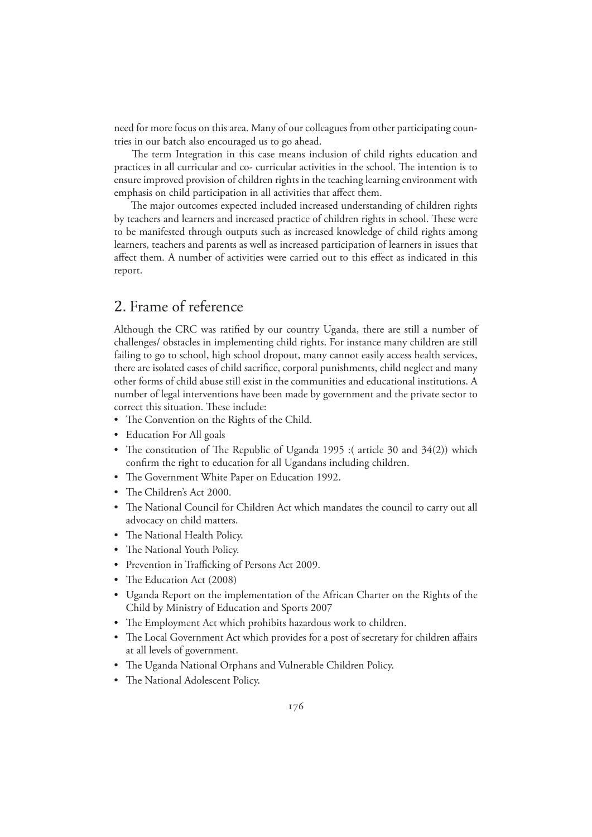need for more focus on this area. Many of our colleagues from other participating countries in our batch also encouraged us to go ahead.

 The term Integration in this case means inclusion of child rights education and practices in all curricular and co- curricular activities in the school. The intention is to ensure improved provision of children rights in the teaching learning environment with emphasis on child participation in all activities that affect them.

 The major outcomes expected included increased understanding of children rights by teachers and learners and increased practice of children rights in school. These were to be manifested through outputs such as increased knowledge of child rights among learners, teachers and parents as well as increased participation of learners in issues that affect them. A number of activities were carried out to this effect as indicated in this report.

## 2. Frame of reference

Although the CRC was ratified by our country Uganda, there are still a number of challenges/ obstacles in implementing child rights. For instance many children are still failing to go to school, high school dropout, many cannot easily access health services, there are isolated cases of child sacrifice, corporal punishments, child neglect and many other forms of child abuse still exist in the communities and educational institutions. A number of legal interventions have been made by government and the private sector to correct this situation. These include:

- The Convention on the Rights of the Child.
- Education For All goals
- The constitution of The Republic of Uganda 1995 :( article 30 and 34(2)) which confirm the right to education for all Ugandans including children.
- The Government White Paper on Education 1992.
- The Children's Act 2000.
- The National Council for Children Act which mandates the council to carry out all advocacy on child matters.
- The National Health Policy.
- The National Youth Policy.
- Prevention in Trafficking of Persons Act 2009.
- The Education Act (2008)
- Uganda Report on the implementation of the African Charter on the Rights of the Child by Ministry of Education and Sports 2007
- The Employment Act which prohibits hazardous work to children.
- The Local Government Act which provides for a post of secretary for children affairs at all levels of government.
- The Uganda National Orphans and Vulnerable Children Policy.
- The National Adolescent Policy.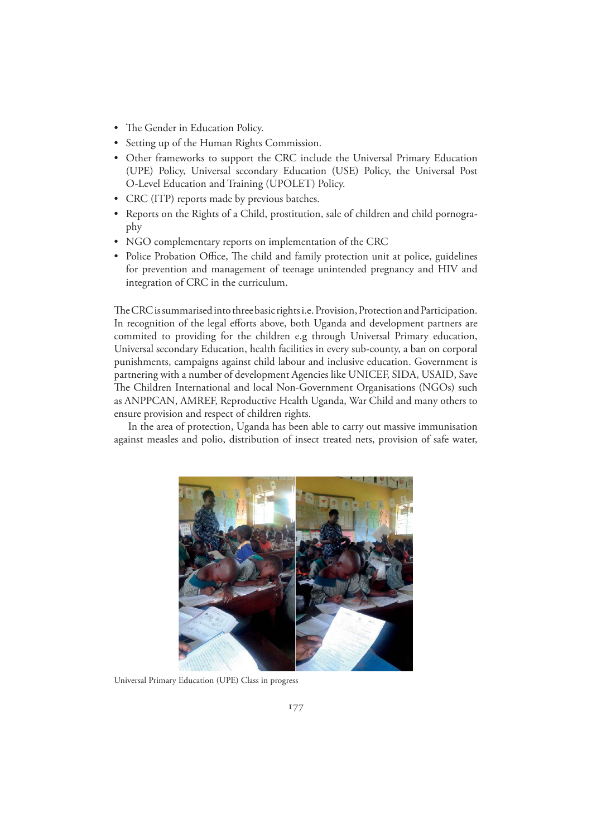- The Gender in Education Policy.
- Setting up of the Human Rights Commission.
- Other frameworks to support the CRC include the Universal Primary Education (UPE) Policy, Universal secondary Education (USE) Policy, the Universal Post O-Level Education and Training (UPOLET) Policy.
- CRC (ITP) reports made by previous batches.
- Reports on the Rights of a Child, prostitution, sale of children and child pornography
- NGO complementary reports on implementation of the CRC
- Police Probation Office, The child and family protection unit at police, guidelines for prevention and management of teenage unintended pregnancy and HIV and integration of CRC in the curriculum.

The CRC is summarised into three basic rights i.e. Provision, Protection and Participation. In recognition of the legal efforts above, both Uganda and development partners are commited to providing for the children e.g through Universal Primary education, Universal secondary Education, health facilities in every sub-county, a ban on corporal punishments, campaigns against child labour and inclusive education. Government is partnering with a number of development Agencies like UNICEF, SIDA, USAID, Save The Children International and local Non-Government Organisations (NGOs) such as ANPPCAN, AMREF, Reproductive Health Uganda, War Child and many others to ensure provision and respect of children rights.

In the area of protection, Uganda has been able to carry out massive immunisation against measles and polio, distribution of insect treated nets, provision of safe water,



Universal Primary Education (UPE) Class in progress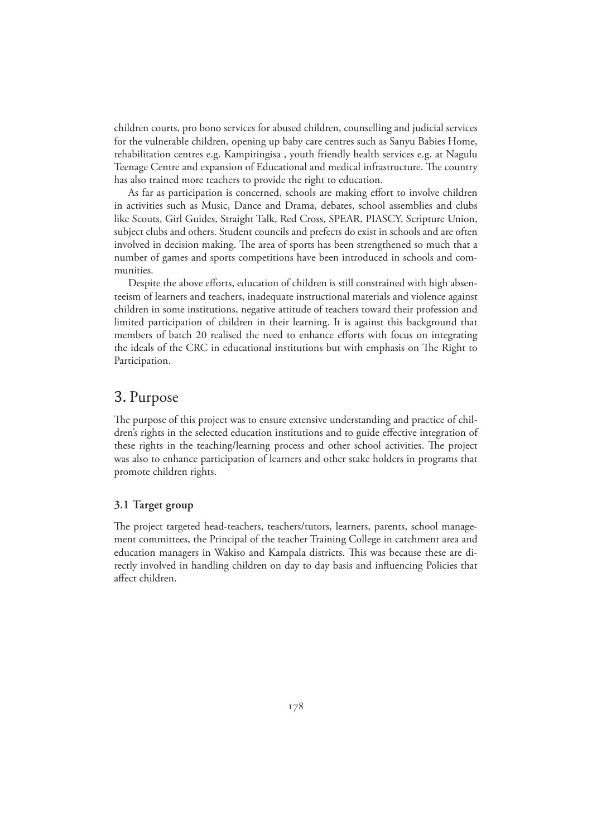children courts, pro bono services for abused children, counselling and judicial services for the vulnerable children, opening up baby care centres such as Sanyu Babies Home, rehabilitation centres e.g. Kampiringisa , youth friendly health services e.g. at Nagulu Teenage Centre and expansion of Educational and medical infrastructure. The country has also trained more teachers to provide the right to education.

As far as participation is concerned, schools are making effort to involve children in activities such as Music, Dance and Drama, debates, school assemblies and clubs like Scouts, Girl Guides, Straight Talk, Red Cross, SPEAR, PIASCY, Scripture Union, subject clubs and others. Student councils and prefects do exist in schools and are often involved in decision making. The area of sports has been strengthened so much that a number of games and sports competitions have been introduced in schools and communities.

Despite the above efforts, education of children is still constrained with high absenteeism of learners and teachers, inadequate instructional materials and violence against children in some institutions, negative attitude of teachers toward their profession and limited participation of children in their learning. It is against this background that members of batch 20 realised the need to enhance efforts with focus on integrating the ideals of the CRC in educational institutions but with emphasis on The Right to Participation.

## 3. Purpose

The purpose of this project was to ensure extensive understanding and practice of children's rights in the selected education institutions and to guide effective integration of these rights in the teaching/learning process and other school activities. The project was also to enhance participation of learners and other stake holders in programs that promote children rights.

#### **3.1 Target group**

The project targeted head-teachers, teachers/tutors, learners, parents, school management committees, the Principal of the teacher Training College in catchment area and education managers in Wakiso and Kampala districts. This was because these are directly involved in handling children on day to day basis and influencing Policies that affect children.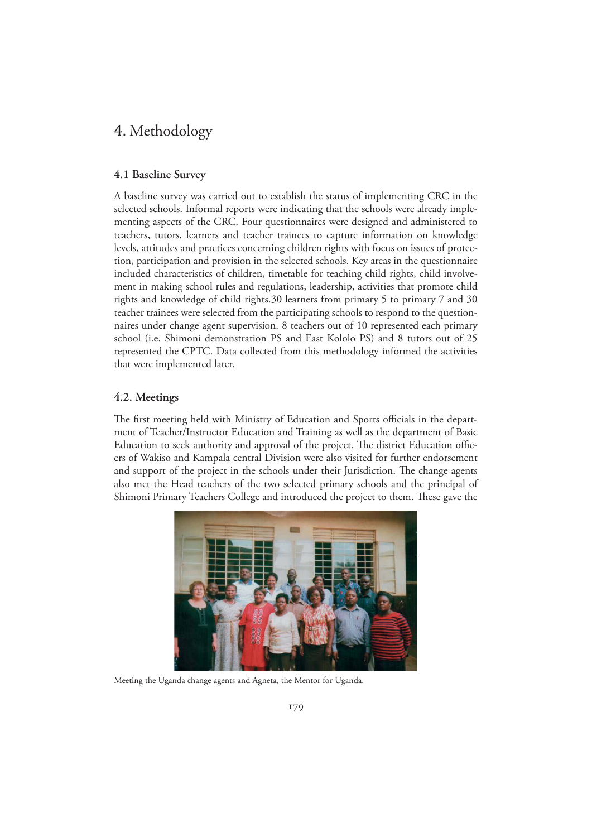## 4. Methodology

#### **4.1 Baseline Survey**

A baseline survey was carried out to establish the status of implementing CRC in the selected schools. Informal reports were indicating that the schools were already implementing aspects of the CRC. Four questionnaires were designed and administered to teachers, tutors, learners and teacher trainees to capture information on knowledge levels, attitudes and practices concerning children rights with focus on issues of protection, participation and provision in the selected schools. Key areas in the questionnaire included characteristics of children, timetable for teaching child rights, child involvement in making school rules and regulations, leadership, activities that promote child rights and knowledge of child rights.30 learners from primary 5 to primary 7 and 30 teacher trainees were selected from the participating schools to respond to the questionnaires under change agent supervision. 8 teachers out of 10 represented each primary school (i.e. Shimoni demonstration PS and East Kololo PS) and 8 tutors out of 25 represented the CPTC. Data collected from this methodology informed the activities that were implemented later.

#### **4.2. Meetings**

The first meeting held with Ministry of Education and Sports officials in the department of Teacher/Instructor Education and Training as well as the department of Basic Education to seek authority and approval of the project. The district Education officers of Wakiso and Kampala central Division were also visited for further endorsement and support of the project in the schools under their Jurisdiction. The change agents also met the Head teachers of the two selected primary schools and the principal of Shimoni Primary Teachers College and introduced the project to them. These gave the



Meeting the Uganda change agents and Agneta, the Mentor for Uganda.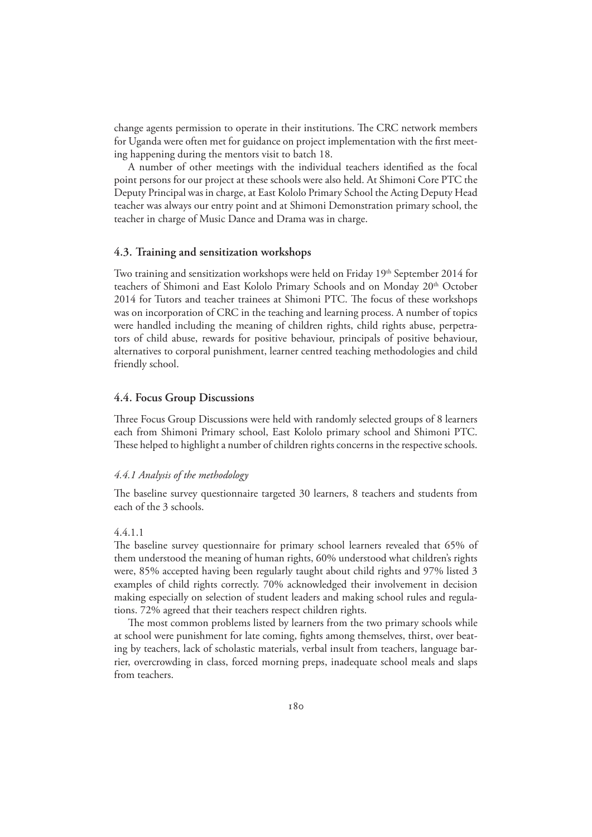change agents permission to operate in their institutions. The CRC network members for Uganda were often met for guidance on project implementation with the first meeting happening during the mentors visit to batch 18.

A number of other meetings with the individual teachers identified as the focal point persons for our project at these schools were also held. At Shimoni Core PTC the Deputy Principal was in charge, at East Kololo Primary School the Acting Deputy Head teacher was always our entry point and at Shimoni Demonstration primary school, the teacher in charge of Music Dance and Drama was in charge.

#### **4.3. Training and sensitization workshops**

Two training and sensitization workshops were held on Friday 19<sup>th</sup> September 2014 for teachers of Shimoni and East Kololo Primary Schools and on Monday 20<sup>th</sup> October 2014 for Tutors and teacher trainees at Shimoni PTC. The focus of these workshops was on incorporation of CRC in the teaching and learning process. A number of topics were handled including the meaning of children rights, child rights abuse, perpetrators of child abuse, rewards for positive behaviour, principals of positive behaviour, alternatives to corporal punishment, learner centred teaching methodologies and child friendly school.

#### **4.4. Focus Group Discussions**

Three Focus Group Discussions were held with randomly selected groups of 8 learners each from Shimoni Primary school, East Kololo primary school and Shimoni PTC. These helped to highlight a number of children rights concerns in the respective schools.

#### *4.4.1 Analysis of the methodology*

The baseline survey questionnaire targeted 30 learners, 8 teachers and students from each of the 3 schools.

#### 4.4.1.1

The baseline survey questionnaire for primary school learners revealed that 65% of them understood the meaning of human rights, 60% understood what children's rights were, 85% accepted having been regularly taught about child rights and 97% listed 3 examples of child rights correctly. 70% acknowledged their involvement in decision making especially on selection of student leaders and making school rules and regulations. 72% agreed that their teachers respect children rights.

The most common problems listed by learners from the two primary schools while at school were punishment for late coming, fights among themselves, thirst, over beating by teachers, lack of scholastic materials, verbal insult from teachers, language barrier, overcrowding in class, forced morning preps, inadequate school meals and slaps from teachers.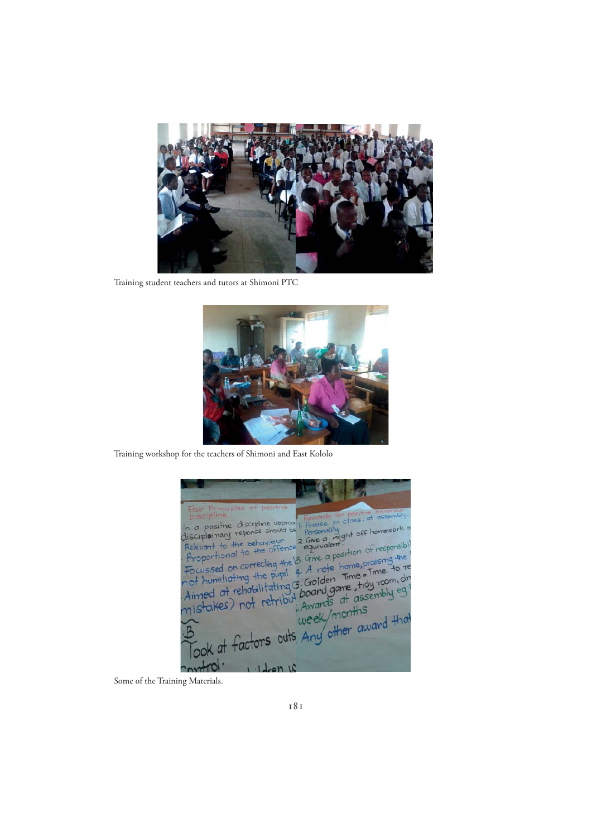

Training student teachers and tutors at Shimoni PTC



Training workshop for the teachers of Shimoni and East Kololo

Rewards for positive behaviour<br>
I. Praise in class, at assembly<br>
Personality:<br>
Cale a might off homework rise in class, at assembly<br>smallily<br>e a might off homework<br>ivalent. a positive discipline app In a positive discipline opprox Give a  $\overline{a}$  $40<sup>°</sup>$ sibi Relevant equi Give a position Proportional to  $#e$ cussed on correcting  $x$ <sub>5</sub>n  $40<sub>7</sub>$ the pupil 4. A note home, Finne to relating 5. Golden Time = Time to relating 5. Golden Time = Time to relation of the study room, dreambly equally that the week/months A note Time not humiliating the public F. Golden<br>Aimed at rehabilitating 5. Golden humiliating  $he$ stakes) factor k at control  $1 - 1$ den  $W$ 

Some of the Training Materials.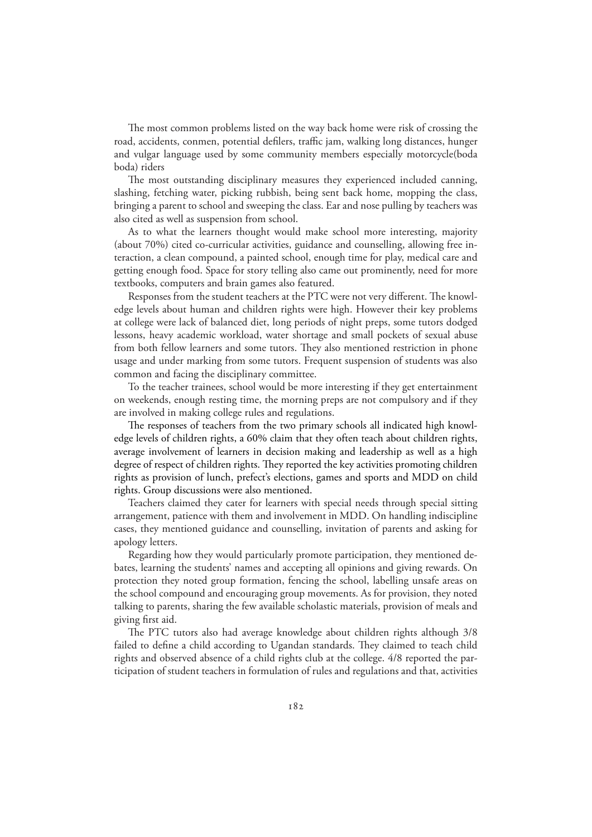The most common problems listed on the way back home were risk of crossing the road, accidents, conmen, potential defilers, traffic jam, walking long distances, hunger and vulgar language used by some community members especially motorcycle(boda boda) riders

The most outstanding disciplinary measures they experienced included canning, slashing, fetching water, picking rubbish, being sent back home, mopping the class, bringing a parent to school and sweeping the class. Ear and nose pulling by teachers was also cited as well as suspension from school.

As to what the learners thought would make school more interesting, majority (about 70%) cited co-curricular activities, guidance and counselling, allowing free interaction, a clean compound, a painted school, enough time for play, medical care and getting enough food. Space for story telling also came out prominently, need for more textbooks, computers and brain games also featured.

Responses from the student teachers at the PTC were not very different. The knowledge levels about human and children rights were high. However their key problems at college were lack of balanced diet, long periods of night preps, some tutors dodged lessons, heavy academic workload, water shortage and small pockets of sexual abuse from both fellow learners and some tutors. They also mentioned restriction in phone usage and under marking from some tutors. Frequent suspension of students was also common and facing the disciplinary committee.

To the teacher trainees, school would be more interesting if they get entertainment on weekends, enough resting time, the morning preps are not compulsory and if they are involved in making college rules and regulations.

The responses of teachers from the two primary schools all indicated high knowledge levels of children rights, a 60% claim that they often teach about children rights, average involvement of learners in decision making and leadership as well as a high degree of respect of children rights. They reported the key activities promoting children rights as provision of lunch, prefect's elections, games and sports and MDD on child rights. Group discussions were also mentioned.

Teachers claimed they cater for learners with special needs through special sitting arrangement, patience with them and involvement in MDD. On handling indiscipline cases, they mentioned guidance and counselling, invitation of parents and asking for apology letters.

Regarding how they would particularly promote participation, they mentioned debates, learning the students' names and accepting all opinions and giving rewards. On protection they noted group formation, fencing the school, labelling unsafe areas on the school compound and encouraging group movements. As for provision, they noted talking to parents, sharing the few available scholastic materials, provision of meals and giving first aid.

The PTC tutors also had average knowledge about children rights although 3/8 failed to define a child according to Ugandan standards. They claimed to teach child rights and observed absence of a child rights club at the college. 4/8 reported the participation of student teachers in formulation of rules and regulations and that, activities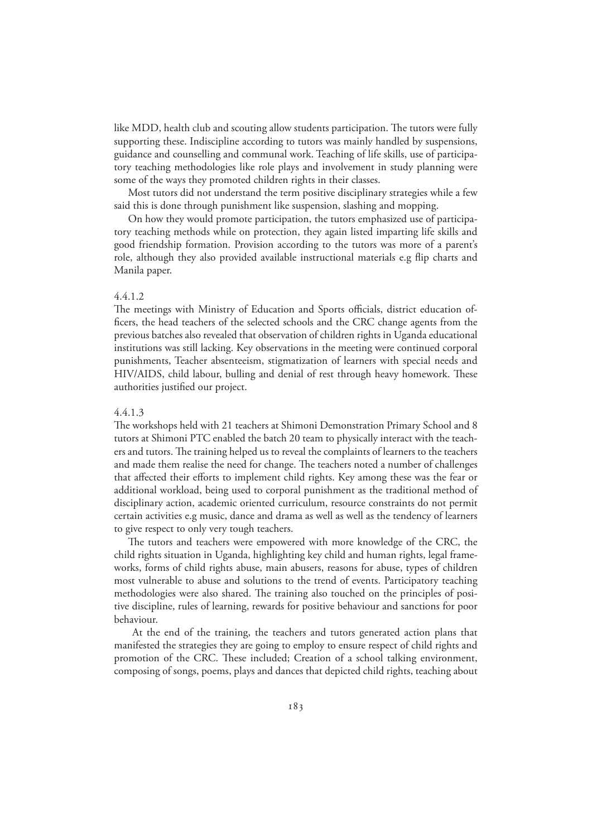like MDD, health club and scouting allow students participation. The tutors were fully supporting these. Indiscipline according to tutors was mainly handled by suspensions, guidance and counselling and communal work. Teaching of life skills, use of participatory teaching methodologies like role plays and involvement in study planning were some of the ways they promoted children rights in their classes.

Most tutors did not understand the term positive disciplinary strategies while a few said this is done through punishment like suspension, slashing and mopping.

On how they would promote participation, the tutors emphasized use of participatory teaching methods while on protection, they again listed imparting life skills and good friendship formation. Provision according to the tutors was more of a parent's role, although they also provided available instructional materials e.g flip charts and Manila paper.

#### 4.4.1.2

The meetings with Ministry of Education and Sports officials, district education officers, the head teachers of the selected schools and the CRC change agents from the previous batches also revealed that observation of children rights in Uganda educational institutions was still lacking. Key observations in the meeting were continued corporal punishments, Teacher absenteeism, stigmatization of learners with special needs and HIV/AIDS, child labour, bulling and denial of rest through heavy homework. These authorities justified our project.

#### 4.4.1.3

The workshops held with 21 teachers at Shimoni Demonstration Primary School and 8 tutors at Shimoni PTC enabled the batch 20 team to physically interact with the teachers and tutors. The training helped us to reveal the complaints of learners to the teachers and made them realise the need for change. The teachers noted a number of challenges that affected their efforts to implement child rights. Key among these was the fear or additional workload, being used to corporal punishment as the traditional method of disciplinary action, academic oriented curriculum, resource constraints do not permit certain activities e.g music, dance and drama as well as well as the tendency of learners to give respect to only very tough teachers.

The tutors and teachers were empowered with more knowledge of the CRC, the child rights situation in Uganda, highlighting key child and human rights, legal frameworks, forms of child rights abuse, main abusers, reasons for abuse, types of children most vulnerable to abuse and solutions to the trend of events. Participatory teaching methodologies were also shared. The training also touched on the principles of positive discipline, rules of learning, rewards for positive behaviour and sanctions for poor behaviour.

 At the end of the training, the teachers and tutors generated action plans that manifested the strategies they are going to employ to ensure respect of child rights and promotion of the CRC. These included; Creation of a school talking environment, composing of songs, poems, plays and dances that depicted child rights, teaching about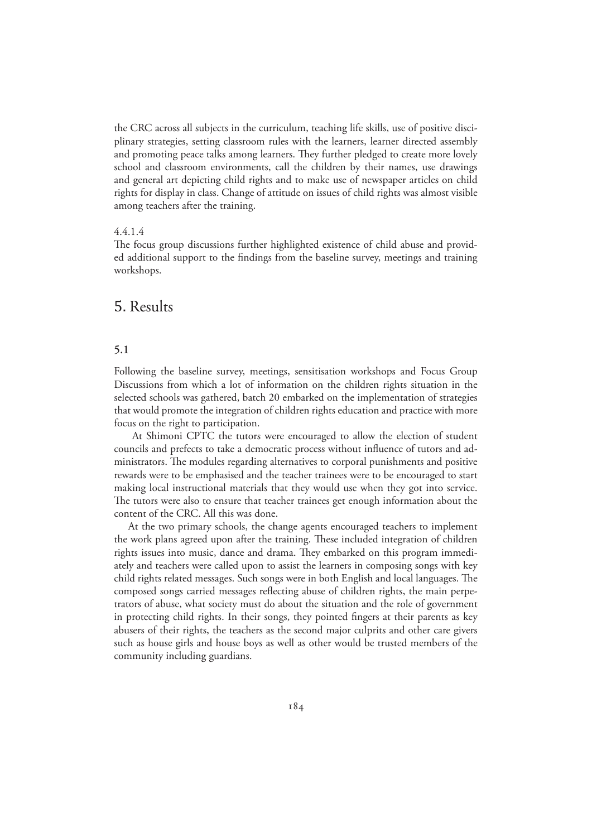the CRC across all subjects in the curriculum, teaching life skills, use of positive disciplinary strategies, setting classroom rules with the learners, learner directed assembly and promoting peace talks among learners. They further pledged to create more lovely school and classroom environments, call the children by their names, use drawings and general art depicting child rights and to make use of newspaper articles on child rights for display in class. Change of attitude on issues of child rights was almost visible among teachers after the training.

#### 4.4.1.4

The focus group discussions further highlighted existence of child abuse and provided additional support to the findings from the baseline survey, meetings and training workshops.

## 5. Results

#### **5.1**

Following the baseline survey, meetings, sensitisation workshops and Focus Group Discussions from which a lot of information on the children rights situation in the selected schools was gathered, batch 20 embarked on the implementation of strategies that would promote the integration of children rights education and practice with more focus on the right to participation.

 At Shimoni CPTC the tutors were encouraged to allow the election of student councils and prefects to take a democratic process without influence of tutors and administrators. The modules regarding alternatives to corporal punishments and positive rewards were to be emphasised and the teacher trainees were to be encouraged to start making local instructional materials that they would use when they got into service. The tutors were also to ensure that teacher trainees get enough information about the content of the CRC. All this was done.

At the two primary schools, the change agents encouraged teachers to implement the work plans agreed upon after the training. These included integration of children rights issues into music, dance and drama. They embarked on this program immediately and teachers were called upon to assist the learners in composing songs with key child rights related messages. Such songs were in both English and local languages. The composed songs carried messages reflecting abuse of children rights, the main perpetrators of abuse, what society must do about the situation and the role of government in protecting child rights. In their songs, they pointed fingers at their parents as key abusers of their rights, the teachers as the second major culprits and other care givers such as house girls and house boys as well as other would be trusted members of the community including guardians.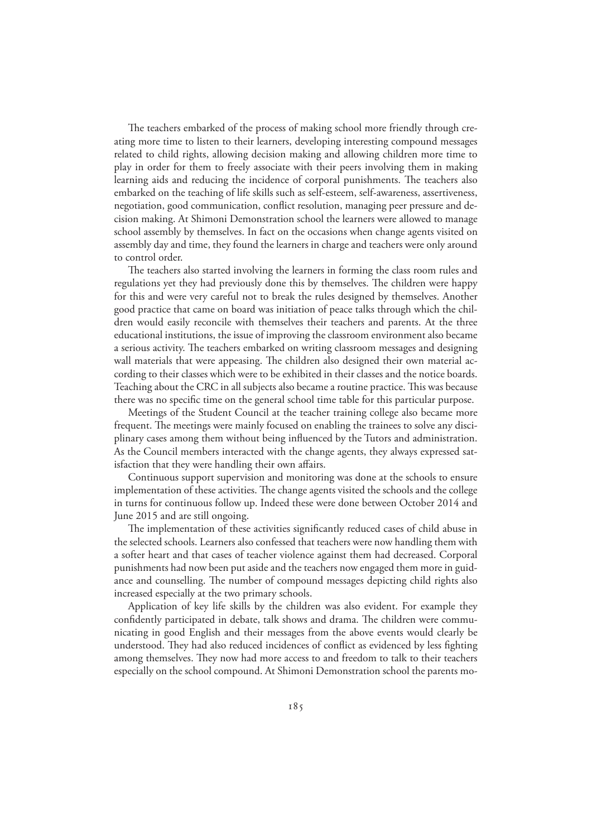The teachers embarked of the process of making school more friendly through creating more time to listen to their learners, developing interesting compound messages related to child rights, allowing decision making and allowing children more time to play in order for them to freely associate with their peers involving them in making learning aids and reducing the incidence of corporal punishments. The teachers also embarked on the teaching of life skills such as self-esteem, self-awareness, assertiveness, negotiation, good communication, conflict resolution, managing peer pressure and decision making. At Shimoni Demonstration school the learners were allowed to manage school assembly by themselves. In fact on the occasions when change agents visited on assembly day and time, they found the learners in charge and teachers were only around to control order.

The teachers also started involving the learners in forming the class room rules and regulations yet they had previously done this by themselves. The children were happy for this and were very careful not to break the rules designed by themselves. Another good practice that came on board was initiation of peace talks through which the children would easily reconcile with themselves their teachers and parents. At the three educational institutions, the issue of improving the classroom environment also became a serious activity. The teachers embarked on writing classroom messages and designing wall materials that were appeasing. The children also designed their own material according to their classes which were to be exhibited in their classes and the notice boards. Teaching about the CRC in all subjects also became a routine practice. This was because there was no specific time on the general school time table for this particular purpose.

Meetings of the Student Council at the teacher training college also became more frequent. The meetings were mainly focused on enabling the trainees to solve any disciplinary cases among them without being influenced by the Tutors and administration. As the Council members interacted with the change agents, they always expressed satisfaction that they were handling their own affairs.

Continuous support supervision and monitoring was done at the schools to ensure implementation of these activities. The change agents visited the schools and the college in turns for continuous follow up. Indeed these were done between October 2014 and June 2015 and are still ongoing.

The implementation of these activities significantly reduced cases of child abuse in the selected schools. Learners also confessed that teachers were now handling them with a softer heart and that cases of teacher violence against them had decreased. Corporal punishments had now been put aside and the teachers now engaged them more in guidance and counselling. The number of compound messages depicting child rights also increased especially at the two primary schools.

Application of key life skills by the children was also evident. For example they confidently participated in debate, talk shows and drama. The children were communicating in good English and their messages from the above events would clearly be understood. They had also reduced incidences of conflict as evidenced by less fighting among themselves. They now had more access to and freedom to talk to their teachers especially on the school compound. At Shimoni Demonstration school the parents mo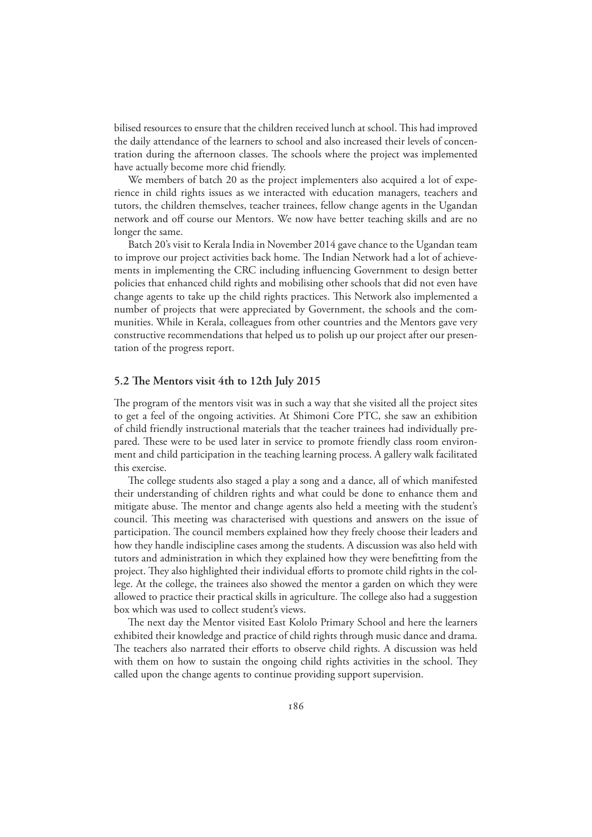bilised resources to ensure that the children received lunch at school. This had improved the daily attendance of the learners to school and also increased their levels of concentration during the afternoon classes. The schools where the project was implemented have actually become more chid friendly.

We members of batch 20 as the project implementers also acquired a lot of experience in child rights issues as we interacted with education managers, teachers and tutors, the children themselves, teacher trainees, fellow change agents in the Ugandan network and off course our Mentors. We now have better teaching skills and are no longer the same.

Batch 20's visit to Kerala India in November 2014 gave chance to the Ugandan team to improve our project activities back home. The Indian Network had a lot of achievements in implementing the CRC including influencing Government to design better policies that enhanced child rights and mobilising other schools that did not even have change agents to take up the child rights practices. This Network also implemented a number of projects that were appreciated by Government, the schools and the communities. While in Kerala, colleagues from other countries and the Mentors gave very constructive recommendations that helped us to polish up our project after our presentation of the progress report.

#### **5.2 The Mentors visit 4th to 12th July 2015**

The program of the mentors visit was in such a way that she visited all the project sites to get a feel of the ongoing activities. At Shimoni Core PTC, she saw an exhibition of child friendly instructional materials that the teacher trainees had individually prepared. These were to be used later in service to promote friendly class room environment and child participation in the teaching learning process. A gallery walk facilitated this exercise.

The college students also staged a play a song and a dance, all of which manifested their understanding of children rights and what could be done to enhance them and mitigate abuse. The mentor and change agents also held a meeting with the student's council. This meeting was characterised with questions and answers on the issue of participation. The council members explained how they freely choose their leaders and how they handle indiscipline cases among the students. A discussion was also held with tutors and administration in which they explained how they were benefitting from the project. They also highlighted their individual efforts to promote child rights in the college. At the college, the trainees also showed the mentor a garden on which they were allowed to practice their practical skills in agriculture. The college also had a suggestion box which was used to collect student's views.

The next day the Mentor visited East Kololo Primary School and here the learners exhibited their knowledge and practice of child rights through music dance and drama. The teachers also narrated their efforts to observe child rights. A discussion was held with them on how to sustain the ongoing child rights activities in the school. They called upon the change agents to continue providing support supervision.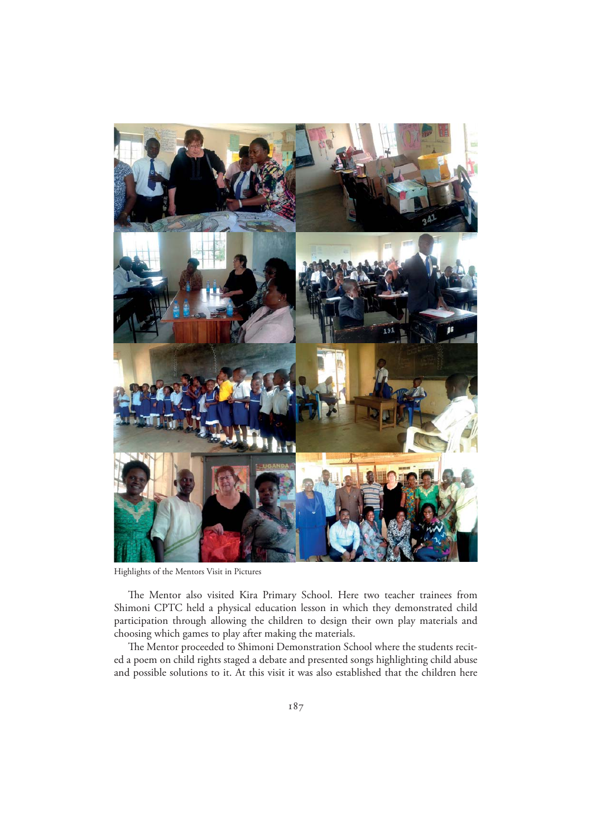

Highlights of the Mentors Visit in Pictures

The Mentor also visited Kira Primary School. Here two teacher trainees from Shimoni CPTC held a physical education lesson in which they demonstrated child participation through allowing the children to design their own play materials and choosing which games to play after making the materials.

The Mentor proceeded to Shimoni Demonstration School where the students recited a poem on child rights staged a debate and presented songs highlighting child abuse and possible solutions to it. At this visit it was also established that the children here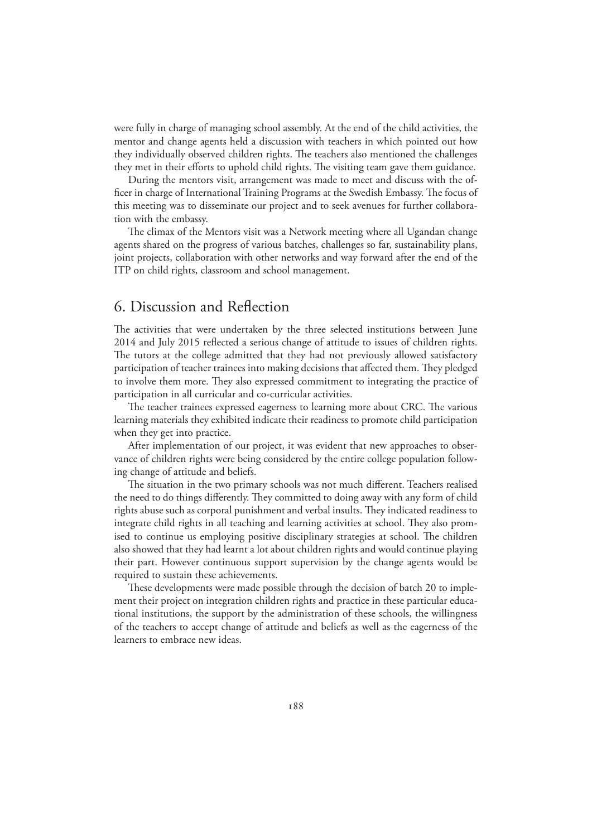were fully in charge of managing school assembly. At the end of the child activities, the mentor and change agents held a discussion with teachers in which pointed out how they individually observed children rights. The teachers also mentioned the challenges they met in their efforts to uphold child rights. The visiting team gave them guidance.

During the mentors visit, arrangement was made to meet and discuss with the officer in charge of International Training Programs at the Swedish Embassy. The focus of this meeting was to disseminate our project and to seek avenues for further collaboration with the embassy.

The climax of the Mentors visit was a Network meeting where all Ugandan change agents shared on the progress of various batches, challenges so far, sustainability plans, joint projects, collaboration with other networks and way forward after the end of the ITP on child rights, classroom and school management.

## 6. Discussion and Reflection

The activities that were undertaken by the three selected institutions between June 2014 and July 2015 reflected a serious change of attitude to issues of children rights. The tutors at the college admitted that they had not previously allowed satisfactory participation of teacher trainees into making decisions that affected them. They pledged to involve them more. They also expressed commitment to integrating the practice of participation in all curricular and co-curricular activities.

The teacher trainees expressed eagerness to learning more about CRC. The various learning materials they exhibited indicate their readiness to promote child participation when they get into practice.

After implementation of our project, it was evident that new approaches to observance of children rights were being considered by the entire college population following change of attitude and beliefs.

The situation in the two primary schools was not much different. Teachers realised the need to do things differently. They committed to doing away with any form of child rights abuse such as corporal punishment and verbal insults. They indicated readiness to integrate child rights in all teaching and learning activities at school. They also promised to continue us employing positive disciplinary strategies at school. The children also showed that they had learnt a lot about children rights and would continue playing their part. However continuous support supervision by the change agents would be required to sustain these achievements.

These developments were made possible through the decision of batch 20 to implement their project on integration children rights and practice in these particular educational institutions, the support by the administration of these schools, the willingness of the teachers to accept change of attitude and beliefs as well as the eagerness of the learners to embrace new ideas.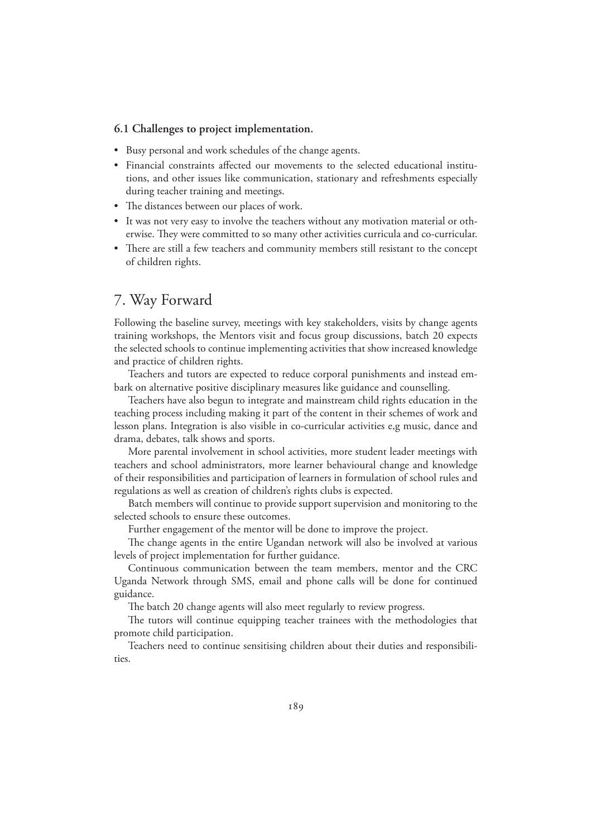#### **6.1 Challenges to project implementation.**

- Busy personal and work schedules of the change agents.
- t Financial constraints affected our movements to the selected educational institutions, and other issues like communication, stationary and refreshments especially during teacher training and meetings.
- The distances between our places of work.
- It was not very easy to involve the teachers without any motivation material or otherwise. They were committed to so many other activities curricula and co-curricular.
- There are still a few teachers and community members still resistant to the concept of children rights.

## 7. Way Forward

Following the baseline survey, meetings with key stakeholders, visits by change agents training workshops, the Mentors visit and focus group discussions, batch 20 expects the selected schools to continue implementing activities that show increased knowledge and practice of children rights.

Teachers and tutors are expected to reduce corporal punishments and instead embark on alternative positive disciplinary measures like guidance and counselling.

Teachers have also begun to integrate and mainstream child rights education in the teaching process including making it part of the content in their schemes of work and lesson plans. Integration is also visible in co-curricular activities e,g music, dance and drama, debates, talk shows and sports.

More parental involvement in school activities, more student leader meetings with teachers and school administrators, more learner behavioural change and knowledge of their responsibilities and participation of learners in formulation of school rules and regulations as well as creation of children's rights clubs is expected.

Batch members will continue to provide support supervision and monitoring to the selected schools to ensure these outcomes.

Further engagement of the mentor will be done to improve the project.

The change agents in the entire Ugandan network will also be involved at various levels of project implementation for further guidance.

Continuous communication between the team members, mentor and the CRC Uganda Network through SMS, email and phone calls will be done for continued guidance.

The batch 20 change agents will also meet regularly to review progress.

The tutors will continue equipping teacher trainees with the methodologies that promote child participation.

Teachers need to continue sensitising children about their duties and responsibilities.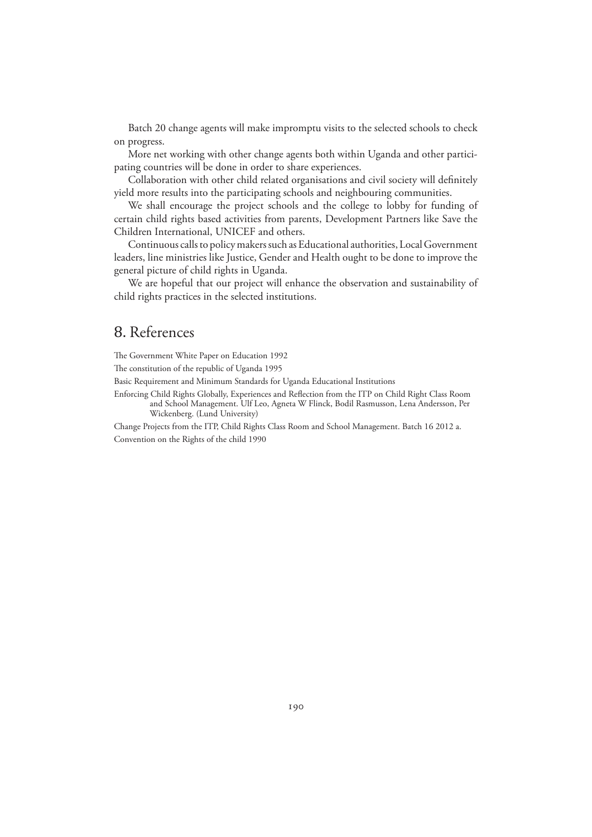Batch 20 change agents will make impromptu visits to the selected schools to check on progress.

More net working with other change agents both within Uganda and other participating countries will be done in order to share experiences.

Collaboration with other child related organisations and civil society will definitely yield more results into the participating schools and neighbouring communities.

We shall encourage the project schools and the college to lobby for funding of certain child rights based activities from parents, Development Partners like Save the Children International, UNICEF and others.

Continuous calls to policy makers such as Educational authorities, Local Government leaders, line ministries like Justice, Gender and Health ought to be done to improve the general picture of child rights in Uganda.

We are hopeful that our project will enhance the observation and sustainability of child rights practices in the selected institutions.

## 8. References

The Government White Paper on Education 1992

The constitution of the republic of Uganda 1995

Basic Requirement and Minimum Standards for Uganda Educational Institutions

Enforcing Child Rights Globally, Experiences and Reflection from the ITP on Child Right Class Room and School Management. Ulf Leo, Agneta W Flinck, Bodil Rasmusson, Lena Andersson, Per Wickenberg. (Lund University)

Change Projects from the ITP, Child Rights Class Room and School Management. Batch 16 2012 a. Convention on the Rights of the child 1990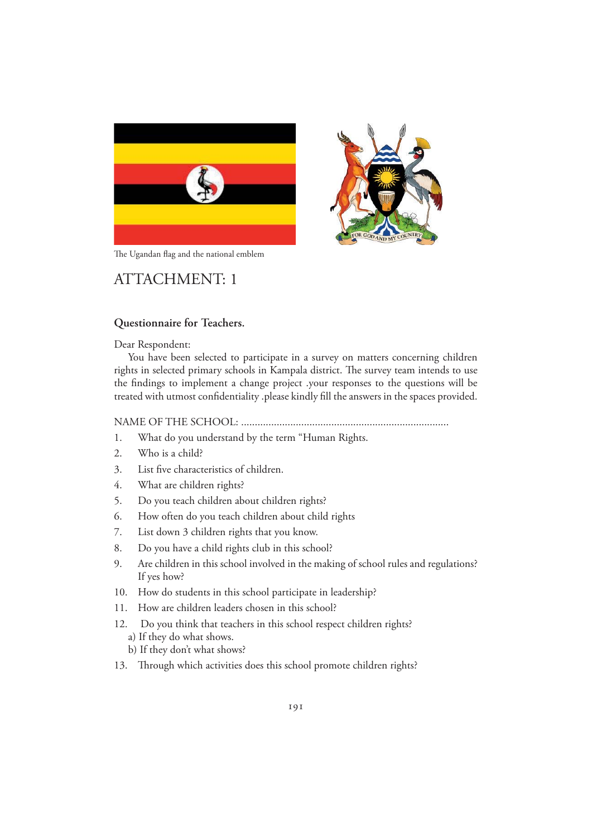





## ATTACHMENT: 1

#### **Questionnaire for Teachers.**

Dear Respondent:

You have been selected to participate in a survey on matters concerning children rights in selected primary schools in Kampala district. The survey team intends to use the findings to implement a change project .your responses to the questions will be treated with utmost confidentiality .please kindly fill the answers in the spaces provided.

NAME OF THE SCHOOL: ............................................................................

- 1. What do you understand by the term "Human Rights.
- 2. Who is a child?
- 3. List five characteristics of children.
- 4. What are children rights?
- 5. Do you teach children about children rights?
- 6. How often do you teach children about child rights
- 7. List down 3 children rights that you know.
- 8. Do you have a child rights club in this school?
- 9. Are children in this school involved in the making of school rules and regulations? If yes how?
- 10. How do students in this school participate in leadership?
- 11. How are children leaders chosen in this school?
- 12. Do you think that teachers in this school respect children rights?
	- a) If they do what shows.
	- b) If they don't what shows?
- 13. Through which activities does this school promote children rights?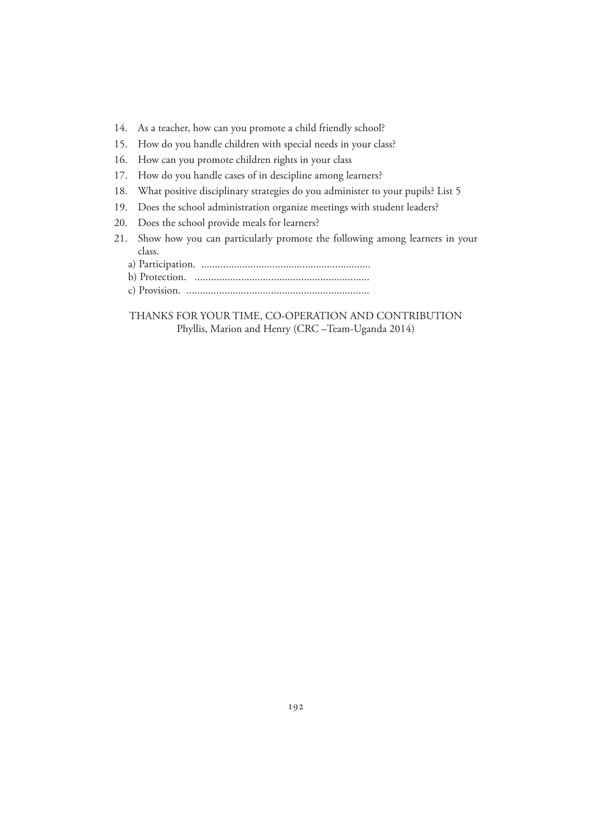- 14. As a teacher, how can you promote a child friendly school?
- 15. How do you handle children with special needs in your class?
- 16. How can you promote children rights in your class
- 17. How do you handle cases of in descipline among learners?
- 18. What positive disciplinary strategies do you administer to your pupils? List 5
- 19. Does the school administration organize meetings with student leaders?
- 20. Does the school provide meals for learners?
- 21. Show how you can particularly promote the following among learners in your class.
	- a) Participation. ..............................................................
	- b) Protection. ................................................................
	- c) Provision. ...................................................................

THANKS FOR YOUR TIME, CO-OPERATION AND CONTRIBUTION Phyllis, Marion and Henry (CRC –Team-Uganda 2014)